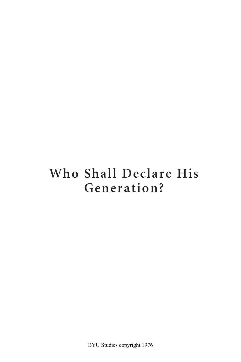# **Who Shall Declare His Generation?**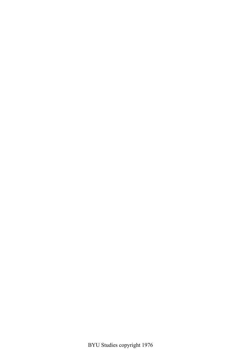BYU Studies copyright 1976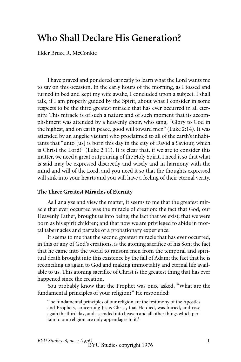# **Who Shall Declare His Generation?**

Elder Bruce R. McConkie

I have prayed and pondered earnestly to learn what the Lord wants me to say on this occasion. In the early hours of the morning, as I tossed and turned in bed and kept my wife awake, I concluded upon a subject. I shall talk, if I am properly guided by the Spirit, about what I consider in some respects to be the third greatest miracle that has ever occurred in all eternity. This miracle is of such a nature and of such moment that its accomplishment was attended by a heavenly choir, who sang, "Glory to God in the highest, and on earth peace, good will toward men" (Luke 2:14). It was attended by an angelic visitant who proclaimed to all of the earth's inhabitants that "unto [us] is born this day in the city of David a Saviour, which is Christ the Lord!" (Luke 2:11). It is clear that, if we are to consider this matter, we need a great outpouring of the Holy Spirit. I need it so that what is said may be expressed discreetly and wisely and in harmony with the mind and will of the Lord, and you need it so that the thoughts expressed will sink into your hearts and you will have a feeling of their eternal verity.

## **The Three Greatest Miracles of Eternity**

As I analyze and view the matter, it seems to me that the greatest miracle that ever occurred was the miracle of creation: the fact that God, our Heavenly Father, brought us into being; the fact that we exist; that we were born as his spirit children; and that now we are privileged to abide in mortal tabernacles and partake of a probationary experience.

It seems to me that the second greatest miracle that has ever occurred, in this or any of God's creations, is the atoning sacrifice of his Son; the fact that he came into the world to ransom men from the temporal and spiritual death brought into this existence by the fall of Adam; the fact that he is reconciling us again to God and making immortality and eternal life available to us. This atoning sacrifice of Christ is the greatest thing that has ever happened since the creation.

You probably know that the Prophet was once asked, "What are the fundamental principles of your religion?" He responded:

The fundamental principles of our religion are the testimony of the Apostles and Prophets, concerning Jesus Christ, that He died, was buried, and rose again the third day, and ascended into heaven and all other things which pertain to our religion are only appendages to it.<sup>1</sup>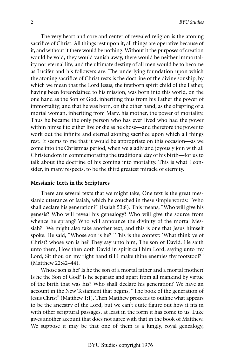The very heart and core and center of revealed religion is the atoning sacrifice of Christ. All things rest upon it, all things are operative because of it, and without it there would be nothing. Without it the purposes of creation would be void, they would vanish away, there would be neither immortality nor eternal life, and the ultimate destiny of all men would be to become as Lucifer and his followers are. The underlying foundation upon which the atoning sacrifice of Christ rests is the doctrine of the divine sonship, by which we mean that the Lord Jesus, the firstborn spirit child of the Father, having been foreordained to his mission, was born into this world, on the one hand as the Son of God, inheriting thus from his Father the power of immortality; and that he was born, on the other hand, as the offspring of a mortal woman, inheriting from Mary, his mother, the power of mortality. Thus he became the only person who has ever lived who had the power within himself to either live or die as he chose—and therefore the power to work out the infinite and eternal atoning sacrifice upon which all things rest. It seems to me that it would be appropriate on this occasion—as we come into the Christmas period, when we gladly and joyously join with all Christendom in commemorating the traditional day of his birth—for us to talk about the doctrine of his coming into mortality. This is what I consider, in many respects, to be the third greatest miracle of eternity.

# **Messianic Texts in the Scriptures**

There are several texts that we might take, One text is the great messianic utterance of Isaiah, which he couched in these simple words: "Who shall declare his generation?" (Isaiah 53:8). This means, "Who will give his genesis? Who will reveal his genealogy? Who will give the source from whence he sprang? Who will announce the divinity of the mortal Messiah?" We might also take another text, and this is one that Jesus himself spoke. He said, "Whose son is he?" This is the context: 'What think ye of Christ? whose son is he? They say unto him, The son of David. He saith unto them, How then doth David in spirit call him Lord, saying unto my Lord, Sit thou on my right hand till I make thine enemies thy footstool?" (Matthew 22:42–44).

Whose son is he? Is he the son of a mortal father and a mortal mother? Is he the Son of God? Is he separate and apart from all mankind by virtue of the birth that was his? Who shall declare his generation? We have an account in the New Testament that begins, "The book of the generation of Jesus Christ" (Matthew 1:1). Then Matthew proceeds to outline what appears to be the ancestry of the Lord, but we can't quite figure out how it fits in with other scriptural passages, at least in the form it has come to us. Luke gives another account that does not agree with that in the book of Matthew. We suppose it may be that one of them is a kingly, royal genealogy,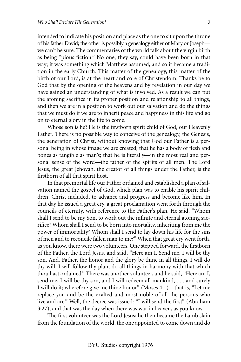intended to indicate his position and place as the one to sit upon the throne of his father David; the other is possibly a genealogy either of Mary or Joseph we can't be sure. The commentaries of the world talk about the virgin birth as being "pious fiction." No one, they say, could have been born in that way; it was something which Matthew assumed, and so it became a tradition in the early Church. This matter of the genealogy, this matter of the birth of our Lord, is at the heart and core of Christendom. Thanks be to God that by the opening of the heavens and by revelation in our day we have gained an understanding of what is involved. As a result we can put the atoning sacrifice in its proper position and relationship to all things, and then we are in a position to work out our salvation and do the things that we must do if we are to inherit peace and happiness in this life and go on to eternal glory in the life to come.

Whose son is he? He is the firstborn spirit child of God, our Heavenly Father. There is no possible way to conceive of the genealogy, the Genesis, the generation of Christ, without knowing that God our Father is a personal being in whose image we are created; that he has a body of flesh and bones as tangible as man's; that he is literally—in the most real and personal sense of the word—the father of the spirits of all men. The Lord Jesus, the great Jehovah, the creator of all things under the Father, is the firstborn of all that spirit host.

In that premortal life our Father ordained and established a plan of salvation named the gospel of God, which plan was to enable his spirit children, Christ included, to advance and progress and become like him. In that day he issued a great cry, a great proclamation went forth through the councils of eternity, with reference to the Father's plan. He said, "Whom shall I send to be my Son, to work out the infinite and eternal atoning sacrifice? Whom shall I send to be born into mortality, inheriting from me the power of immortality? Whom shall I send to lay down his life for the sins of men and to reconcile fallen man to me?" When that great cry went forth, as you know, there were two volunteers. One stepped forward, the firstborn of the Father, the Lord Jesus, and said, "Here am I. Send me. I will be thy son. And, Father, the honor and the glory be thine in all things. I will do thy will. I will follow thy plan, do all things in harmony with that which thou hast ordained." There was another volunteer, and he said, "Here am I, send me, I will be thy son, and I will redeem all mankind, . . . and surely I will do it; wherefore give me thine honor" (Moses 4:1)—that is, "Let me replace you and be the exalted and most noble of all the persons who live and are." Well, the decree was issued: "I will send the first" (Abraham 3:27), and that was the day when there was war in heaven, as you know.

The first volunteer was the Lord Jesus; he then became the Lamb slain from the foundation of the world, the one appointed to come down and do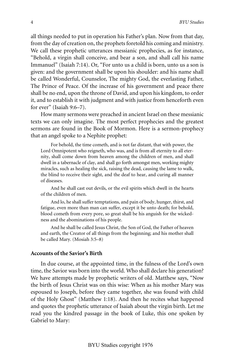all things needed to put in operation his Father's plan. Now from that day, from the day of creation on, the prophets foretold his coming and ministry. We call these prophetic utterances messianic prophecies, as for instance, "Behold, a virgin shall conceive, and bear a son, and shall call his name Immanuel" (Isaiah 7:14). Or, "For unto us a child is born, unto us a son is given: and the government shall be upon his shoulder: and his name shall be called Wonderful, Counselor, The mighty God, the everlasting Father, The Prince of Peace. Of the increase of his government and peace there shall be no end, upon the throne of David, and upon his kingdom, to order it, and to establish it with judgment and with justice from henceforth even for ever" (Isaiah 9:6–7).

How many sermons were preached in ancient Israel on these messianic texts we can only imagine. The most perfect prophecies and the greatest sermons are found in the Book of Mormon. Here is a sermon-prophecy that an angel spoke to a Nephite prophet:

For behold, the time cometh, and is not far distant, that with power, the Lord Omnipotent who reigneth, who was, and is from all eternity to all eternity, shall come down from heaven among the children of men, and shall dwell in a tabernacle of clay, and shall go forth amongst men, working mighty miracles, such as healing the sick, raising the dead, causing the lame to walk, the blind to receive their sight, and the deaf to hear, and curing all manner of diseases.

And he shall cast out devils, or the evil spirits which dwell in the hearts of the children of men.

And lo, he shall suffer temptations, and pain of body, hunger, thirst, and fatigue, even more than man can suffer, except it be unto death; for behold, blood cometh from every pore, so great shall be his anguish for the wickedness and the abominations of his people.

And he shall be called Jesus Christ, the Son of God, the Father of heaven and earth, the Creator of all things from the beginning; and his mother shall be called Mary. (Mosiah 3:5–8)

#### **Accounts of the Savior's Birth**

In due course, at the appointed time, in the fulness of the Lord's own time, the Savior was born into the world. Who shall declare his generation? We have attempts made by prophetic writers of old. Matthew says, "Now the birth of Jesus Christ was on this wise: When as his mother Mary was espoused to Joseph, before they came together, she was found with child of the Holy Ghost" (Matthew 1:18). And then he recites what happened and quotes the prophetic utterance of Isaiah about the virgin birth. Let me read you the kindred passage in the book of Luke, this one spoken by Gabriel to Mary: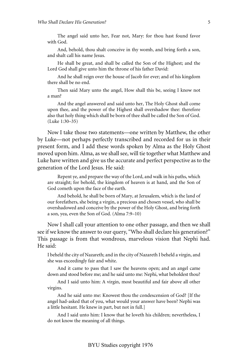The angel said unto her, Fear not, Mary: for thou hast found favor with God.

And, behold, thou shalt conceive in thy womb, and bring forth a son, and shalt call his name Jesus.

He shall be great, and shall be called the Son of the Highest; and the Lord God shall give unto him the throne of his father David:

And he shall reign over the house of Jacob for ever; and of his kingdom there shall be no end.

Then said Mary unto the angel, How shall this be, seeing I know not a man?

And the angel answered and said unto her, The Holy Ghost shall come upon thee, and the power of the Highest shall overshadow thee: therefore also that holy thing which shall be born of thee shall be called the Son of God. (Luke 1:30–35)

Now I take those two statements—one written by Matthew, the other by Luke—not perhaps perfectly transcribed and recorded for us in their present form, and I add these words spoken by Alma as the Holy Ghost moved upon him. Alma, as we shall see, will tie together what Matthew and Luke have written and give us the accurate and perfect perspective as to the generation of the Lord Jesus. He said:

Repent ye, and prepare the way of the Lord, and walk in his paths, which are straight; for behold, the kingdom of heaven is at hand, and the Son of God cometh upon the face of the earth.

And behold, he shall be born of Mary, at Jerusalem, which is the land of our forefathers, she being a virgin, a precious and chosen vessel, who shall be overshadowed and conceive by the power of the Holy Ghost, and bring forth a son, yea, even the Son of God. (Alma 7:9–10)

Now I shall call your attention to one other passage, and then we shall see if we know the answer to our query, "Who shall declare his generation?" This passage is from that wondrous, marvelous vision that Nephi had. He said:

I beheld the city of Nazareth; and in the city of Nazareth I beheld a virgin, and she was exceedingly fair and white.

And it came to pass that I saw the heavens open; and an angel came down and stood before me; and he said unto me: Nephi, what beholdest thou?

And I said unto him: A virgin, most beautiful and fair above all other virgins.

And he said unto me: Knowest thou the condescension of God? [If the angel had-asked that of you, what would your answer have been? Nephi was a little hesitant. He knew in part, but not in full.]

And I said unto him: I know that he loveth his children; nevertheless, I do not know the meaning of all things.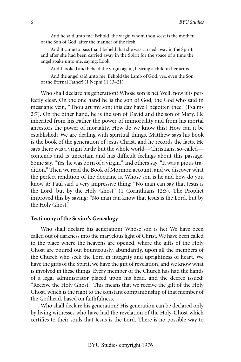And he said unto me: Behold, the virgin whom thou seest is the mother of the Son of God, after the manner of the flesh.

And it came to pass that I beheld that she was carried away in the Spirit; and after she had been carried away in the Spirit for the space of a time the angel spake unto me, saying: Look!

And I looked and beheld the virgin again, bearing a child in her arms.

And the angel said unto me: Behold the Lamb of God, yea, even the Son of the Eternal Father! (1 Nephi 11:13–21)

Who shall declare his generation? Whose son is he? Well, now it is perfectly clear. On the one hand he is the son of God, the God who said in messianic vein, "Thou art my son; this day have I begotten thee" (Psalms 2:7). On the other hand, he is the son of David and the son of Mary. He inherited from his Father the power of immortality and from his mortal ancestors the power of mortality. How do we know this? How can it be established? We are dealing with spiritual things. Matthew says his book is the book of the generation of Jesus Christ, and he records the facts. He says there was a virgin birth; but the whole world—Christians, so-called contends and is uncertain and has difficult feelings about this passage. Some say, "Yes, he was born of a virgin," and others say, "It was a pious tradition." Then we read the Book of Mormon account, and we discover what the perfect rendition of the doctrine is. Whose son is he and how do you know it? Paul said a very impressive thing: "No man can say that Jesus is the Lord, but by the Holy Ghost" (1 Corinthians 12:3). The Prophet improved this by saying: "No man can know that Jesus is the Lord, but by the Holy Ghost."

## **Testimony of the Savior's Genealogy**

Who shall declare his generation? Whose son is he? We have been called out of darkness into the marvelous light of Christ. We have been called to the place where the heavens are opened, where the gifts of the Holy Ghost are poured out bounteously, abundantly, upon all the members of the Church who seek the Lord in integrity and uprightness of heart. We have the gifts of the Spirit, we have the gift of revelation, and we know what is involved in these things. Every member of the Church has had the hands of a legal administrator placed upon his head, and the decree issued: "Receive the Holy Ghost." This means that we receive the gift of the Holy Ghost, which is the right to the constant companionship of that member of the Godhead, based on faithfulness.

Who shall declare his generation? His generation can be declared only by living witnesses who have had the revelation of the Holy-Ghost which certifies to their souls that Jesus is the Lord. There is no possible way to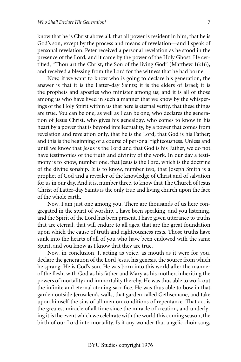know that he is Christ above all, that all power is resident in him, that he is God's son, except by the process and means of revelation—and I speak of personal revelation. Peter received a personal revelation as he stood in the presence of the Lord, and it came by the power of the Holy Ghost. He certified, "Thou art the Christ, the Son of the living God" (Matthew 16:16), and received a blessing from the Lord for the witness that he had borne.

Now, if we want to know who is going to declare his generation, the answer is that it is the Latter-day Saints; it is the elders of Israel; it is the prophets and apostles who minister among us; and it is all of those among us who have lived in such a manner that we know by the whisperings of the Holy Spirit within us that here is eternal verity, that these things are true. You can be one, as well as I can be one, who declares the generation of Jesus Christ, who gives his genealogy, who comes to know in his heart by a power that is beyond intellectuality, by a power that comes from revelation and revelation only, that he is the Lord, that God is his Father; and this is the beginning of a course of personal righteousness. Unless and until we know that Jesus is the Lord and that God is his Father, we do not have testimonies of the truth and divinity of the work. In our day a testimony is to know, number one, that Jesus is the Lord, which is the doctrine of the divine sonship. It is to know, number two, that Joseph Smith is a prophet of God and a revealer of the knowledge of Christ and of salvation for us in our day. And it is, number three, to know that The Church of Jesus Christ of Latter-day Saints is the only true and living church upon the face of the whole earth.

Now, I am just one among you. There are thousands of us here congregated in the spirit of worship. I have been speaking, and you listening, and the Spirit of the Lord has been present. I have given utterance to truths that are eternal, that will endure to all ages, that are the great foundation upon which the cause of truth and righteousness rests. Those truths have sunk into the hearts of all of you who have been endowed with the same Spirit, and you know as I know that they are true.

Now, in conclusion, I, acting as voice, as mouth as it were for you, declare the generation of the Lord Jesus, his genesis, the source from which he sprang: He is God's son. He was born into this world after the manner of the flesh, with God as his father and Mary as his mother, inheriting the powers of mortality and immortality thereby. He was thus able to work out the infinite and eternal atoning sacrifice. He was thus able to bow in that garden outside Jerusalem's walls, that garden called Gethsemane, and take upon himself the sins of all men on conditions of repentance. That act is the greatest miracle of all time since the miracle of creation, and underlying it is the event which we celebrate with the world this coming season, the birth of our Lord into mortality. Is it any wonder that angelic choir sang,